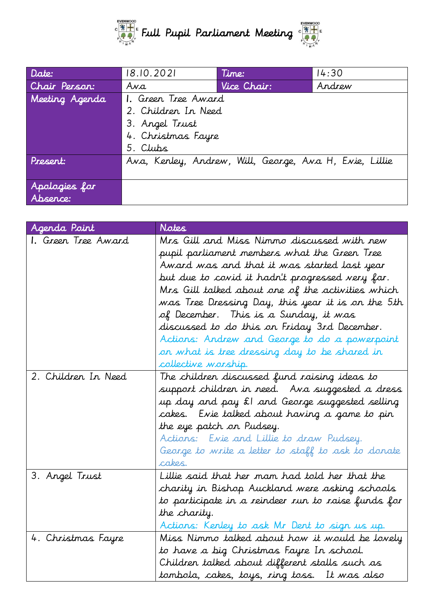

| Date:          | 18.10.2021          | Time:                                                  | 14:30  |
|----------------|---------------------|--------------------------------------------------------|--------|
| Chair Person:  | Ava                 | Vice Chair:                                            | Andrew |
| Meeting Agenda | 1. Green Tree Award |                                                        |        |
|                | 2. Children In Need |                                                        |        |
|                | 3. Angel Trust      |                                                        |        |
|                | 4. Christmas Fayre  |                                                        |        |
|                | 5. Clubs            |                                                        |        |
| Present:       |                     | Ava, Kenley, Andrew, Will, George, Ava H, Evie, Lillie |        |
|                |                     |                                                        |        |
| Apologies for  |                     |                                                        |        |
| Absence:       |                     |                                                        |        |

| Agenda Point<br>1. Green Tree Award | Notes<br>Mrs Gill and Miss Nimmo discussed with new<br>pupil parliament members what the Green Tree<br>Award was and that it was started last year<br>but due to covid it hadr't progressed very far.<br>Mrs Gill talked about one of the activities which<br>was Tree Dressing Day, this year it is on the 5th<br>of December. This is a Sunday, it was<br>discussed to do this on Friday 3rd December.<br>Actions: Andrew and George to do a powerpoint |
|-------------------------------------|-----------------------------------------------------------------------------------------------------------------------------------------------------------------------------------------------------------------------------------------------------------------------------------------------------------------------------------------------------------------------------------------------------------------------------------------------------------|
|                                     | or what is tree dressing day to be shared in<br>collective worship.                                                                                                                                                                                                                                                                                                                                                                                       |
| 2. Children In Need                 | The children discussed fund raising ideas to<br>support children in need. Ava suggested a dress<br>up day and pay £I and George suggested selling<br>cakes. Evie talked about having a game to pin<br>the eye patch on Pudsey.<br>Actions: Evie and Lillie to draw Pudsey.<br>George to write a letter to staff to ask to donate<br>cakes.                                                                                                                |
| 3. Angel Trust                      | Lillie said that her mam had told her that the<br>charity in Bishop Auckland were asking schools<br>to participate in a reindeer run to raise funds for<br>the charity.<br>Actions: Kenley to ask Mr Dent to sign us up.                                                                                                                                                                                                                                  |
| 4. Christmas Fayre                  | Miss Nimmo talked about how it would be lovely<br>to have a big Christmas Fayre In school.<br>Children talked about different stalls such as<br>tombola, cakes, toys, ring toss. It was also                                                                                                                                                                                                                                                              |